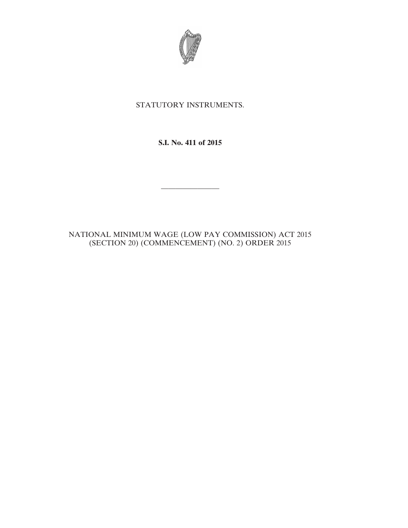

# STATUTORY INSTRUMENTS.

## **S.I. No. 411 of 2015**

————————

### NATIONAL MINIMUM WAGE (LOW PAY COMMISSION) ACT 2015 (SECTION 20) (COMMENCEMENT) (NO. 2) ORDER 2015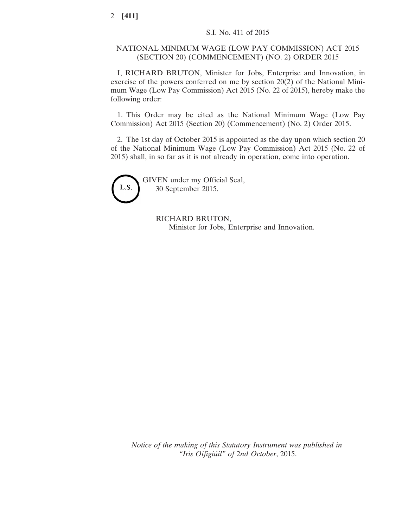### NATIONAL MINIMUM WAGE (LOW PAY COMMISSION) ACT 2015 (SECTION 20) (COMMENCEMENT) (NO. 2) ORDER 2015

I, RICHARD BRUTON, Minister for Jobs, Enterprise and Innovation, in exercise of the powers conferred on me by section 20(2) of the National Minimum Wage (Low Pay Commission) Act 2015 (No. 22 of 2015), hereby make the following order:

1. This Order may be cited as the National Minimum Wage (Low Pay Commission) Act 2015 (Section 20) (Commencement) (No. 2) Order 2015.

2. The 1st day of October 2015 is appointed as the day upon which section 20 of the National Minimum Wage (Low Pay Commission) Act 2015 (No. 22 of 2015) shall, in so far as it is not already in operation, come into operation.



GIVEN under my Official Seal, 30 September 2015.

> RICHARD BRUTON, Minister for Jobs, Enterprise and Innovation.

*Notice of the making of this Statutory Instrument was published in "Iris Oifigiúil" of* 2*nd October*, 2015.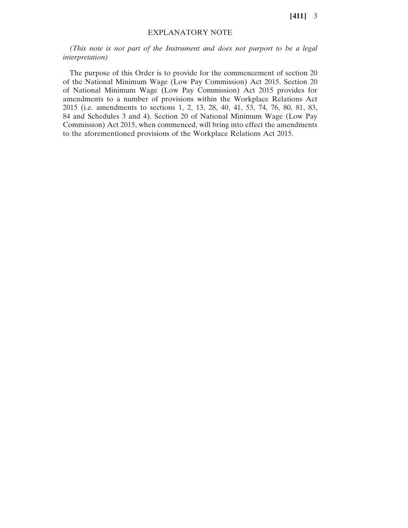**[411]** 3

### EXPLANATORY NOTE

*(This note is not part of the Instrument and does not purport to be a legal interpretation)*

The purpose of this Order is to provide for the commencement of section 20 of the National Minimum Wage (Low Pay Commission) Act 2015. Section 20 of National Minimum Wage (Low Pay Commission) Act 2015 provides for amendments to a number of provisions within the Workplace Relations Act 2015 (i.e. amendments to sections 1, 2, 13, 28, 40, 41, 53, 74, 76, 80, 81, 83, 84 and Schedules 3 and 4). Section 20 of National Minimum Wage (Low Pay Commission) Act 2015, when commenced, will bring into effect the amendments to the aforementioned provisions of the Workplace Relations Act 2015.